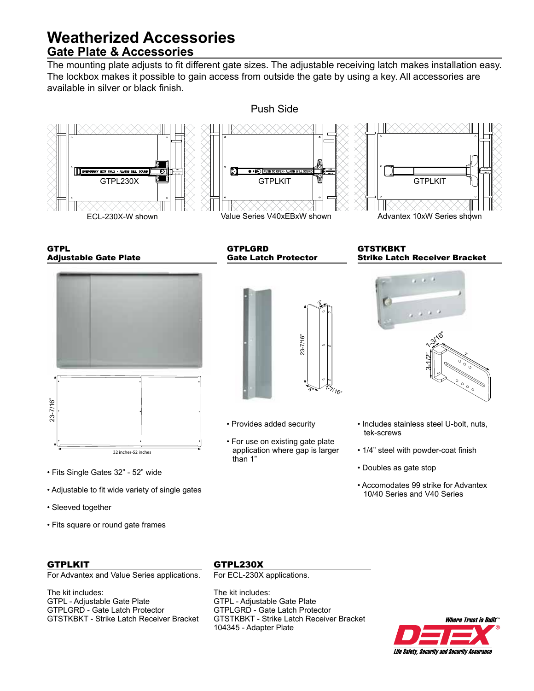# **Weatherized Accessories Gate Plate & Accessories**

The mounting plate adjusts to fit different gate sizes. The adjustable receiving latch makes installation easy. The lockbox makes it possible to gain access from outside the gate by using a key. All accessories are available in silver or black finish.



**GTPL** Adjustable Gate Plate



- Fits Single Gates 32" 52" wide
- Adjustable to fit wide variety of single gates
- Sleeved together
- Fits square or round gate frames

## **GTPLKIT**

For Advantex and Value Series applications.

The kit includes: GTPL - Adjustable Gate Plate GTPLGRD - Gate Latch Protector GTSTKBKT - Strike Latch Receiver Bracket GTPLGRD Gate Latch Protector



- Provides added security
- For use on existing gate plate application where gap is larger than 1"

**GTSTKBKT** Strike Latch Receiver Bracket



- Includes stainless steel U-bolt, nuts, tek-screws
- 1/4" steel with powder-coat finish
- Doubles as gate stop
- Accomodates 99 strike for Advantex 10/40 Series and V40 Series

## GTPL230X

For ECL-230X applications.

The kit includes: GTPL - Adjustable Gate Plate GTPLGRD - Gate Latch Protector GTSTKBKT - Strike Latch Receiver Bracket 104345 - Adapter Plate